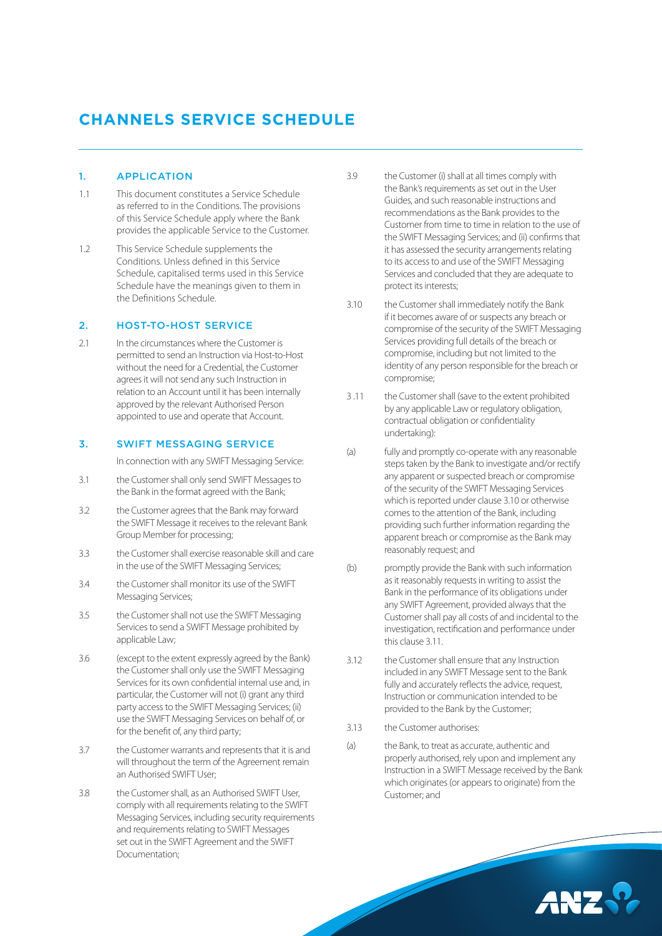# **CHANNELS SERVICE SCHEDULE**

### 1. APPLICATION

- 1.1 This document constitutes a Service Schedule as referred to in the Conditions. The provisions of this Service Schedule apply where the Bank provides the applicable Service to the Customer.
- 1.2 This Service Schedule supplements the Conditions. Unless defined in this Service Schedule, capitalised terms used in this Service Schedule have the meanings given to them in the Definitions Schedule.

#### 2. HOST-TO-HOST SERVICE

2.1 In the circumstances where the Customer is permitted to send an Instruction via Host-to-Host without the need for a Credential, the Customer agrees it will not send any such Instruction in relation to an Account until it has been internally approved by the relevant Authorised Person appointed to use and operate that Account.

## 3. SWIFT MESSAGING SERVICE

In connection with any SWIFT Messaging Service:

- 3.1 the Customer shall only send SWIFT Messages to the Bank in the format agreed with the Bank;
- 3.2 the Customer agrees that the Bank may forward the SWIFT Message it receives to the relevant Bank Group Member for processing;
- 3.3 the Customer shall exercise reasonable skill and care in the use of the SWIFT Messaging Services;
- 3.4 the Customer shall monitor its use of the SWIFT Messaging Services;
- 3.5 the Customer shall not use the SWIFT Messaging Services to send a SWIFT Message prohibited by applicable Law;
- 3.6 (except to the extent expressly agreed by the Bank) the Customer shall only use the SWIFT Messaging Services for its own confidential internal use and, in particular, the Customer will not (i) grant any third party access to the SWIFT Messaging Services; (ii) use the SWIFT Messaging Services on behalf of, or for the benefit of, any third party;
- 3.7 the Customer warrants and represents that it is and will throughout the term of the Agreement remain an Authorised SWIFT User;
- 3.8 the Customer shall, as an Authorised SWIFT User, comply with all requirements relating to the SWIFT Messaging Services, including security requirements and requirements relating to SWIFT Messages set out in the SWIFT Agreement and the SWIFT Documentation;
- 3.9 the Customer (i) shall at all times comply with the Bank's requirements as set out in the User Guides, and such reasonable instructions and recommendations as the Bank provides to the Customer from time to time in relation to the use of the SWIFT Messaging Services; and (ii) confirms that it has assessed the security arrangements relating to its access to and use of the SWIFT Messaging Services and concluded that they are adequate to protect its interests;
- 3.10 the Customer shall immediately notify the Bank if it becomes aware of or suspects any breach or compromise of the security of the SWIFT Messaging Services providing full details of the breach or compromise, including but not limited to the identity of any person responsible for the breach or compromise;
- 3 .11 the Customer shall (save to the extent prohibited by any applicable Law or regulatory obligation, contractual obligation or confidentiality undertaking):
- (a) fully and promptly co-operate with any reasonable steps taken by the Bank to investigate and/or rectify any apparent or suspected breach or compromise of the security of the SWIFT Messaging Services which is reported under clause 3.10 or otherwise comes to the attention of the Bank, including providing such further information regarding the apparent breach or compromise as the Bank may reasonably request; and
- (b) promptly provide the Bank with such information as it reasonably requests in writing to assist the Bank in the performance of its obligations under any SWIFT Agreement, provided always that the Customer shall pay all costs of and incidental to the investigation, rectification and performance under this clause 3.11.
- 3.12 the Customer shall ensure that any Instruction included in any SWIFT Message sent to the Bank fully and accurately reflects the advice, request, Instruction or communication intended to be provided to the Bank by the Customer;
- 3.13 the Customer authorises:
- (a) the Bank, to treat as accurate, authentic and properly authorised, rely upon and implement any Instruction in a SWIFT Message received by the Bank which originates (or appears to originate) from the Customer; and

ANZ.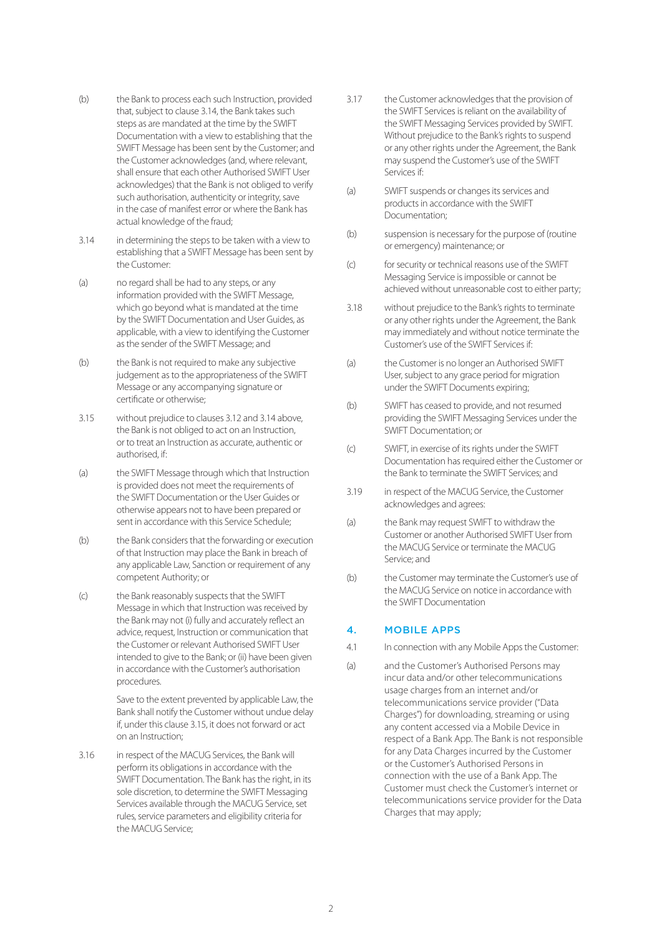- (b) the Bank to process each such Instruction, provided that, subject to clause 3.14, the Bank takes such steps as are mandated at the time by the SWIFT Documentation with a view to establishing that the SWIFT Message has been sent by the Customer; and the Customer acknowledges (and, where relevant, shall ensure that each other Authorised SWIFT User acknowledges) that the Bank is not obliged to verify such authorisation, authenticity or integrity, save in the case of manifest error or where the Bank has actual knowledge of the fraud;
- 3.14 in determining the steps to be taken with a view to establishing that a SWIFT Message has been sent by the Customer:
- (a) no regard shall be had to any steps, or any information provided with the SWIFT Message, which go beyond what is mandated at the time by the SWIFT Documentation and User Guides, as applicable, with a view to identifying the Customer as the sender of the SWIFT Message; and
- (b) the Bank is not required to make any subjective judgement as to the appropriateness of the SWIFT Message or any accompanying signature or certificate or otherwise;
- 3.15 without prejudice to clauses 3.12 and 3.14 above, the Bank is not obliged to act on an Instruction, or to treat an Instruction as accurate, authentic or authorised, if:
- (a) the SWIFT Message through which that Instruction is provided does not meet the requirements of the SWIFT Documentation or the User Guides or otherwise appears not to have been prepared or sent in accordance with this Service Schedule;
- (b) the Bank considers that the forwarding or execution of that Instruction may place the Bank in breach of any applicable Law, Sanction or requirement of any competent Authority; or
- (c) the Bank reasonably suspects that the SWIFT Message in which that Instruction was received by the Bank may not (i) fully and accurately reflect an advice, request, Instruction or communication that the Customer or relevant Authorised SWIFT User intended to give to the Bank; or (ii) have been given in accordance with the Customer's authorisation procedures.

 Save to the extent prevented by applicable Law, the Bank shall notify the Customer without undue delay if, under this clause 3.15, it does not forward or act on an Instruction;

3.16 in respect of the MACUG Services, the Bank will perform its obligations in accordance with the SWIFT Documentation. The Bank has the right, in its sole discretion, to determine the SWIFT Messaging Services available through the MACUG Service, set rules, service parameters and eligibility criteria for the MACUG Service;

- 3.17 the Customer acknowledges that the provision of the SWIFT Services is reliant on the availability of the SWIFT Messaging Services provided by SWIFT. Without prejudice to the Bank's rights to suspend or any other rights under the Agreement, the Bank may suspend the Customer's use of the SWIFT Services if:
- (a) SWIFT suspends or changes its services and products in accordance with the SWIFT Documentation;
- (b) suspension is necessary for the purpose of (routine or emergency) maintenance; or
- (c) for security or technical reasons use of the SWIFT Messaging Service is impossible or cannot be achieved without unreasonable cost to either party;
- 3.18 without prejudice to the Bank's rights to terminate or any other rights under the Agreement, the Bank may immediately and without notice terminate the Customer's use of the SWIFT Services if:
- (a) the Customer is no longer an Authorised SWIFT User, subject to any grace period for migration under the SWIFT Documents expiring;
- (b) SWIFT has ceased to provide, and not resumed providing the SWIFT Messaging Services under the SWIFT Documentation; or
- (c) SWIFT, in exercise of its rights under the SWIFT Documentation has required either the Customer or the Bank to terminate the SWIFT Services; and
- 3.19 in respect of the MACUG Service, the Customer acknowledges and agrees:
- (a) the Bank may request SWIFT to withdraw the Customer or another Authorised SWIFT User from the MACUG Service or terminate the MACUG Service; and
- (b) the Customer may terminate the Customer's use of the MACUG Service on notice in accordance with the SWIFT Documentation

## 4. MOBILE APPS

- 4.1 In connection with any Mobile Apps the Customer:
- (a) and the Customer's Authorised Persons may incur data and/or other telecommunications usage charges from an internet and/or telecommunications service provider ("Data Charges") for downloading, streaming or using any content accessed via a Mobile Device in respect of a Bank App. The Bank is not responsible for any Data Charges incurred by the Customer or the Customer's Authorised Persons in connection with the use of a Bank App. The Customer must check the Customer's internet or telecommunications service provider for the Data Charges that may apply;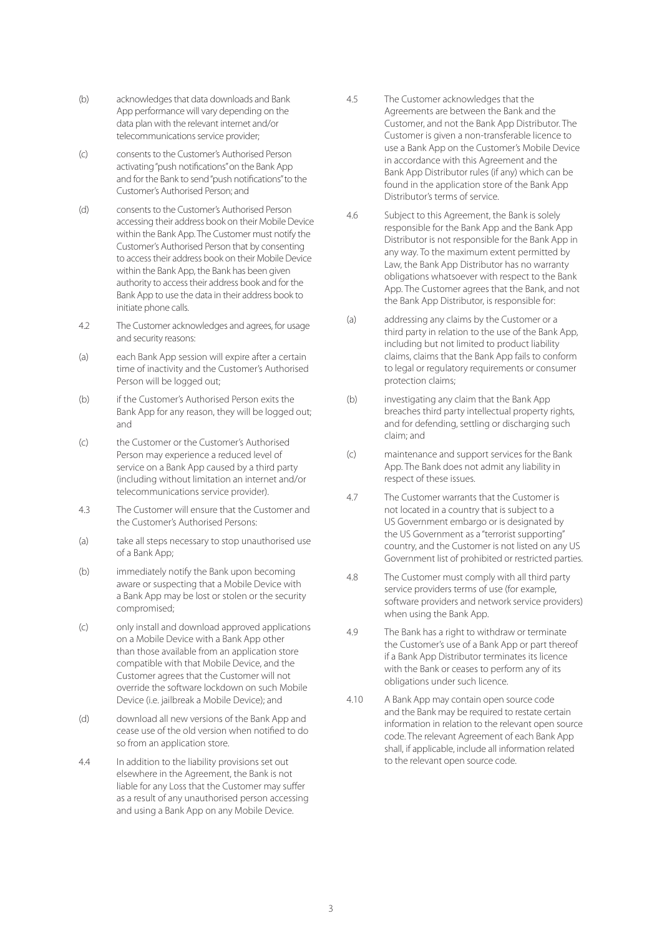- (b) acknowledges that data downloads and Bank App performance will vary depending on the data plan with the relevant internet and/or telecommunications service provider;
- (c) consents to the Customer's Authorised Person activating "push notifications" on the Bank App and for the Bank to send "push notifications" to the Customer's Authorised Person; and
- (d) consents to the Customer's Authorised Person accessing their address book on their Mobile Device within the Bank App. The Customer must notify the Customer's Authorised Person that by consenting to access their address book on their Mobile Device within the Bank App, the Bank has been given authority to access their address book and for the Bank App to use the data in their address book to initiate phone calls.
- 4.2 The Customer acknowledges and agrees, for usage and security reasons:
- (a) each Bank App session will expire after a certain time of inactivity and the Customer's Authorised Person will be logged out;
- (b) if the Customer's Authorised Person exits the Bank App for any reason, they will be logged out; and
- (c) the Customer or the Customer's Authorised Person may experience a reduced level of service on a Bank App caused by a third party (including without limitation an internet and/or telecommunications service provider).
- 4.3 The Customer will ensure that the Customer and the Customer's Authorised Persons:
- (a) take all steps necessary to stop unauthorised use of a Bank App;
- (b) immediately notify the Bank upon becoming aware or suspecting that a Mobile Device with a Bank App may be lost or stolen or the security compromised;
- (c) only install and download approved applications on a Mobile Device with a Bank App other than those available from an application store compatible with that Mobile Device, and the Customer agrees that the Customer will not override the software lockdown on such Mobile Device (i.e. jailbreak a Mobile Device); and
- (d) download all new versions of the Bank App and cease use of the old version when notified to do so from an application store.
- 4.4 In addition to the liability provisions set out elsewhere in the Agreement, the Bank is not liable for any Loss that the Customer may suffer as a result of any unauthorised person accessing and using a Bank App on any Mobile Device.
- 4.5 The Customer acknowledges that the Agreements are between the Bank and the Customer, and not the Bank App Distributor. The Customer is given a non-transferable licence to use a Bank App on the Customer's Mobile Device in accordance with this Agreement and the Bank App Distributor rules (if any) which can be found in the application store of the Bank App Distributor's terms of service.
- 4.6 Subject to this Agreement, the Bank is solely responsible for the Bank App and the Bank App Distributor is not responsible for the Bank App in any way. To the maximum extent permitted by Law, the Bank App Distributor has no warranty obligations whatsoever with respect to the Bank App. The Customer agrees that the Bank, and not the Bank App Distributor, is responsible for:
- (a) addressing any claims by the Customer or a third party in relation to the use of the Bank App, including but not limited to product liability claims, claims that the Bank App fails to conform to legal or regulatory requirements or consumer protection claims;
- (b) investigating any claim that the Bank App breaches third party intellectual property rights, and for defending, settling or discharging such claim; and
- (c) maintenance and support services for the Bank App. The Bank does not admit any liability in respect of these issues.
- 4.7 The Customer warrants that the Customer is not located in a country that is subject to a US Government embargo or is designated by the US Government as a "terrorist supporting" country, and the Customer is not listed on any US Government list of prohibited or restricted parties.
- 4.8 The Customer must comply with all third party service providers terms of use (for example, software providers and network service providers) when using the Bank App.
- 4.9 The Bank has a right to withdraw or terminate the Customer's use of a Bank App or part thereof if a Bank App Distributor terminates its licence with the Bank or ceases to perform any of its obligations under such licence.
- 4.10 A Bank App may contain open source code and the Bank may be required to restate certain information in relation to the relevant open source code. The relevant Agreement of each Bank App shall, if applicable, include all information related to the relevant open source code.